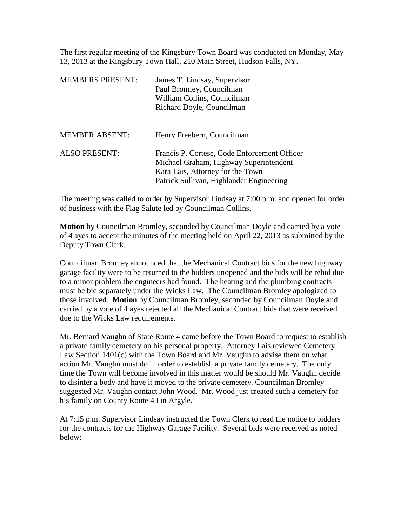The first regular meeting of the Kingsbury Town Board was conducted on Monday, May 13, 2013 at the Kingsbury Town Hall, 210 Main Street, Hudson Falls, NY.

| <b>MEMBERS PRESENT:</b> | James T. Lindsay, Supervisor<br>Paul Bromley, Councilman<br>William Collins, Councilman<br>Richard Doyle, Councilman                                                   |
|-------------------------|------------------------------------------------------------------------------------------------------------------------------------------------------------------------|
| <b>MEMBER ABSENT:</b>   | Henry Freebern, Councilman                                                                                                                                             |
| <b>ALSO PRESENT:</b>    | Francis P. Cortese, Code Enforcement Officer<br>Michael Graham, Highway Superintendent<br>Kara Lais, Attorney for the Town<br>Patrick Sullivan, Highlander Engineering |

The meeting was called to order by Supervisor Lindsay at 7:00 p.m. and opened for order of business with the Flag Salute led by Councilman Collins.

**Motion** by Councilman Bromley, seconded by Councilman Doyle and carried by a vote of 4 ayes to accept the minutes of the meeting held on April 22, 2013 as submitted by the Deputy Town Clerk.

Councilman Bromley announced that the Mechanical Contract bids for the new highway garage facility were to be returned to the bidders unopened and the bids will be rebid due to a minor problem the engineers had found. The heating and the plumbing contracts must be bid separately under the Wicks Law. The Councilman Bromley apologized to those involved. **Motion** by Councilman Bromley, seconded by Councilman Doyle and carried by a vote of 4 ayes rejected all the Mechanical Contract bids that were received due to the Wicks Law requirements.

Mr. Bernard Vaughn of State Route 4 came before the Town Board to request to establish a private family cemetery on his personal property. Attorney Lais reviewed Cemetery Law Section 1401(c) with the Town Board and Mr. Vaughn to advise them on what action Mr. Vaughn must do in order to establish a private family cemetery. The only time the Town will become involved in this matter would be should Mr. Vaughn decide to disinter a body and have it moved to the private cemetery. Councilman Bromley suggested Mr. Vaughn contact John Wood. Mr. Wood just created such a cemetery for his family on County Route 43 in Argyle.

At 7:15 p.m. Supervisor Lindsay instructed the Town Clerk to read the notice to bidders for the contracts for the Highway Garage Facility. Several bids were received as noted below: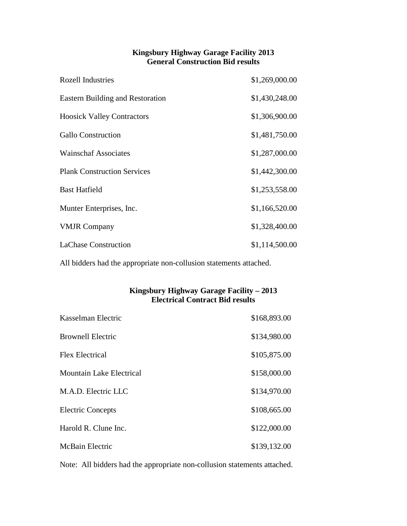## **Kingsbury Highway Garage Facility 2013 General Construction Bid results**

| <b>Rozell Industries</b>                | \$1,269,000.00 |
|-----------------------------------------|----------------|
| <b>Eastern Building and Restoration</b> | \$1,430,248.00 |
| <b>Hoosick Valley Contractors</b>       | \$1,306,900.00 |
| <b>Gallo Construction</b>               | \$1,481,750.00 |
| <b>Wainschaf Associates</b>             | \$1,287,000.00 |
| <b>Plank Construction Services</b>      | \$1,442,300.00 |
| <b>Bast Hatfield</b>                    | \$1,253,558.00 |
| Munter Enterprises, Inc.                | \$1,166,520.00 |
| <b>VMJR Company</b>                     | \$1,328,400.00 |
| <b>LaChase Construction</b>             | \$1,114,500.00 |

All bidders had the appropriate non-collusion statements attached.

## **Kingsbury Highway Garage Facility – 2013 Electrical Contract Bid results**

| Kasselman Electric              | \$168,893.00 |
|---------------------------------|--------------|
| <b>Brownell Electric</b>        | \$134,980.00 |
| <b>Flex Electrical</b>          | \$105,875.00 |
| <b>Mountain Lake Electrical</b> | \$158,000.00 |
| M.A.D. Electric LLC             | \$134,970.00 |
| <b>Electric Concepts</b>        | \$108,665.00 |
| Harold R. Clune Inc.            | \$122,000.00 |
| McBain Electric                 | \$139,132.00 |

Note: All bidders had the appropriate non-collusion statements attached.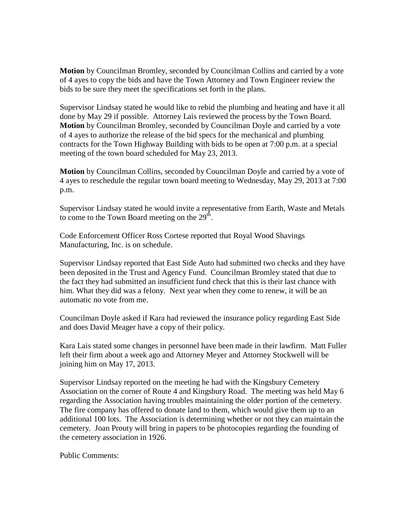**Motion** by Councilman Bromley, seconded by Councilman Collins and carried by a vote of 4 ayes to copy the bids and have the Town Attorney and Town Engineer review the bids to be sure they meet the specifications set forth in the plans.

Supervisor Lindsay stated he would like to rebid the plumbing and heating and have it all done by May 29 if possible. Attorney Lais reviewed the process by the Town Board. **Motion** by Councilman Bromley, seconded by Councilman Doyle and carried by a vote of 4 ayes to authorize the release of the bid specs for the mechanical and plumbing contracts for the Town Highway Building with bids to be open at 7:00 p.m. at a special meeting of the town board scheduled for May 23, 2013.

**Motion** by Councilman Collins, seconded by Councilman Doyle and carried by a vote of 4 ayes to reschedule the regular town board meeting to Wednesday, May 29, 2013 at 7:00 p.m.

Supervisor Lindsay stated he would invite a representative from Earth, Waste and Metals to come to the Town Board meeting on the  $29<sup>th</sup>$ .

Code Enforcement Officer Ross Cortese reported that Royal Wood Shavings Manufacturing, Inc. is on schedule.

Supervisor Lindsay reported that East Side Auto had submitted two checks and they have been deposited in the Trust and Agency Fund. Councilman Bromley stated that due to the fact they had submitted an insufficient fund check that this is their last chance with him. What they did was a felony. Next year when they come to renew, it will be an automatic no vote from me.

Councilman Doyle asked if Kara had reviewed the insurance policy regarding East Side and does David Meager have a copy of their policy.

Kara Lais stated some changes in personnel have been made in their lawfirm. Matt Fuller left their firm about a week ago and Attorney Meyer and Attorney Stockwell will be joining him on May 17, 2013.

Supervisor Lindsay reported on the meeting he had with the Kingsbury Cemetery Association on the corner of Route 4 and Kingsbury Road. The meeting was held May 6 regarding the Association having troubles maintaining the older portion of the cemetery. The fire company has offered to donate land to them, which would give them up to an additional 100 lots. The Association is determining whether or not they can maintain the cemetery. Joan Prouty will bring in papers to be photocopies regarding the founding of the cemetery association in 1926.

Public Comments: